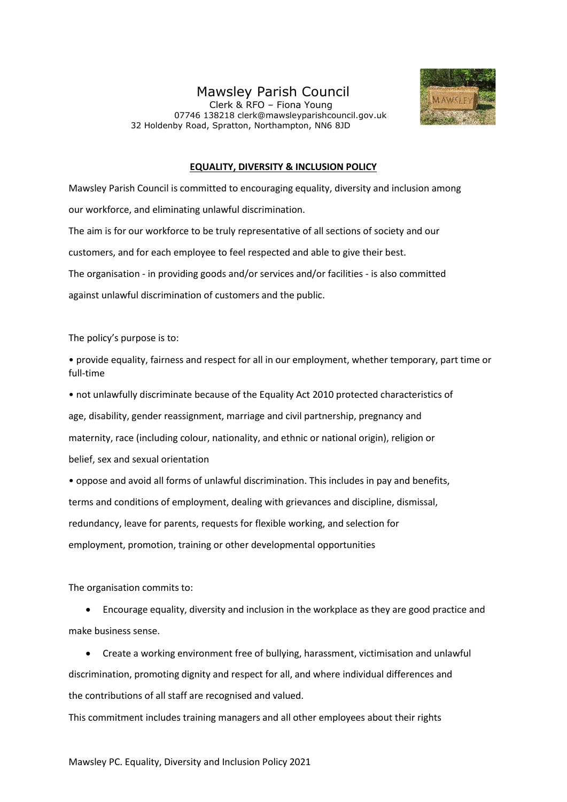## Mawsley Parish Council

 Clerk & RFO – Fiona Young 07746 138218 clerk@mawsleyparishcouncil.gov.uk 32 Holdenby Road, Spratton, Northampton, NN6 8JD



## **EQUALITY, DIVERSITY & INCLUSION POLICY**

Mawsley Parish Council is committed to encouraging equality, diversity and inclusion among our workforce, and eliminating unlawful discrimination. The aim is for our workforce to be truly representative of all sections of society and our customers, and for each employee to feel respected and able to give their best. The organisation - in providing goods and/or services and/or facilities - is also committed against unlawful discrimination of customers and the public.

The policy's purpose is to:

• provide equality, fairness and respect for all in our employment, whether temporary, part time or full-time

• not unlawfully discriminate because of the Equality Act 2010 protected characteristics of age, disability, gender reassignment, marriage and civil partnership, pregnancy and maternity, race (including colour, nationality, and ethnic or national origin), religion or belief, sex and sexual orientation

• oppose and avoid all forms of unlawful discrimination. This includes in pay and benefits, terms and conditions of employment, dealing with grievances and discipline, dismissal, redundancy, leave for parents, requests for flexible working, and selection for employment, promotion, training or other developmental opportunities

The organisation commits to:

• Encourage equality, diversity and inclusion in the workplace as they are good practice and make business sense.

• Create a working environment free of bullying, harassment, victimisation and unlawful discrimination, promoting dignity and respect for all, and where individual differences and the contributions of all staff are recognised and valued.

This commitment includes training managers and all other employees about their rights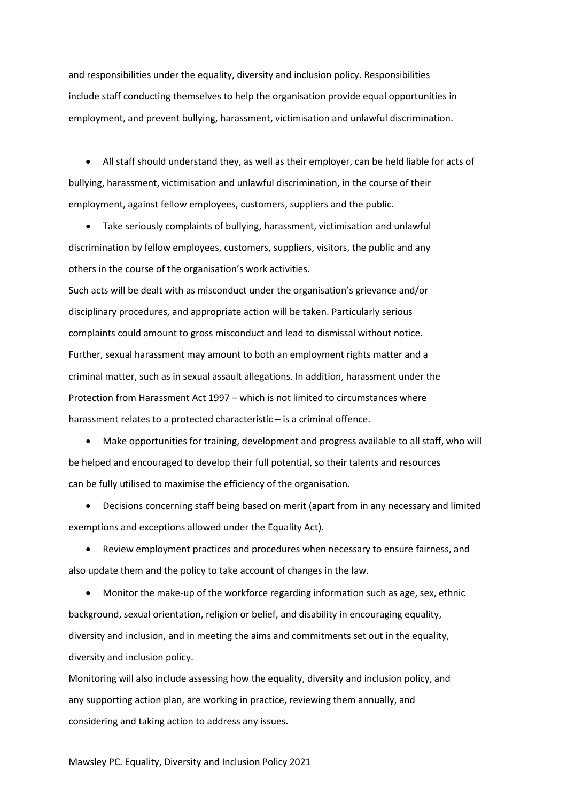and responsibilities under the equality, diversity and inclusion policy. Responsibilities include staff conducting themselves to help the organisation provide equal opportunities in employment, and prevent bullying, harassment, victimisation and unlawful discrimination.

• All staff should understand they, as well as their employer, can be held liable for acts of bullying, harassment, victimisation and unlawful discrimination, in the course of their employment, against fellow employees, customers, suppliers and the public.

• Take seriously complaints of bullying, harassment, victimisation and unlawful discrimination by fellow employees, customers, suppliers, visitors, the public and any others in the course of the organisation's work activities.

Such acts will be dealt with as misconduct under the organisation's grievance and/or disciplinary procedures, and appropriate action will be taken. Particularly serious complaints could amount to gross misconduct and lead to dismissal without notice. Further, sexual harassment may amount to both an employment rights matter and a criminal matter, such as in sexual assault allegations. In addition, harassment under the Protection from Harassment Act 1997 – which is not limited to circumstances where harassment relates to a protected characteristic – is a criminal offence.

• Make opportunities for training, development and progress available to all staff, who will be helped and encouraged to develop their full potential, so their talents and resources can be fully utilised to maximise the efficiency of the organisation.

• Decisions concerning staff being based on merit (apart from in any necessary and limited exemptions and exceptions allowed under the Equality Act).

• Review employment practices and procedures when necessary to ensure fairness, and also update them and the policy to take account of changes in the law.

• Monitor the make-up of the workforce regarding information such as age, sex, ethnic background, sexual orientation, religion or belief, and disability in encouraging equality, diversity and inclusion, and in meeting the aims and commitments set out in the equality, diversity and inclusion policy.

Monitoring will also include assessing how the equality, diversity and inclusion policy, and any supporting action plan, are working in practice, reviewing them annually, and considering and taking action to address any issues.